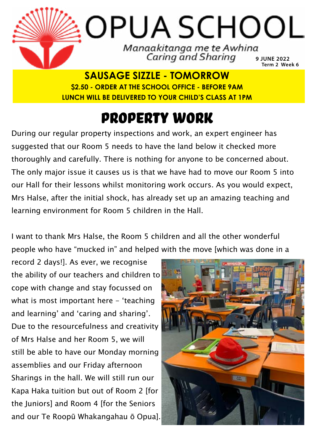# OPUA SCHOOL **Manaakitanga me te Awhina**<br>Caring and Sharing 910NE 2022 **Term 2 Week 6**

**SAUSAGE SIZZLE - TOMORROW \$2.50 - ORDER AT THE SCHOOL OFFICE - BEFORE 9AM LUNCH WILL BE DELIVERED TO YOUR CHILD'S CLASS AT 1PM**

## PROPERTY WORK

During our regular property inspections and work, an expert engineer has suggested that our Room 5 needs to have the land below it checked more thoroughly and carefully. There is nothing for anyone to be concerned about. The only major issue it causes us is that we have had to move our Room 5 into our Hall for their lessons whilst monitoring work occurs. As you would expect, Mrs Halse, after the initial shock, has already set up an amazing teaching and learning environment for Room 5 children in the Hall.

I want to thank Mrs Halse, the Room 5 children and all the other wonderful people who have "mucked in" and helped with the move [which was done in a

record 2 days!]. As ever, we recognise the ability of our teachers and children to cope with change and stay focussed on what is most important here  $-$  'teaching and learning' and 'caring and sharing'. Due to the resourcefulness and creativity of Mrs Halse and her Room 5, we will still be able to have our Monday morning assemblies and our Friday afternoon Sharings in the hall. We will still run our Kapa Haka tuition but out of Room 2 [for the Juniors] and Room 4 [for the Seniors and our Te Roopū Whakangahau ō Opua].

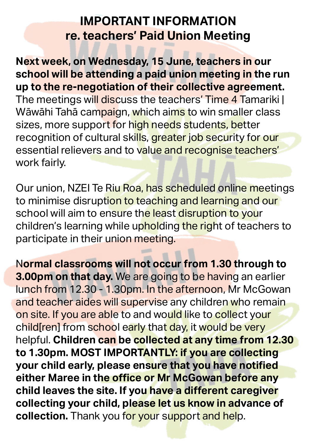### **IMPORTANT INFORMATION re. teachers' Paid Union Meeting**

**Next week, on Wednesday, 15 June, teachers in our school will be attending a paid union meeting in the run up to the re-negotiation of their collective agreement.** The meetings will discuss the teachers' Time 4 Tamariki | Wāwāhi Tahā campaign, which aims to win smaller class sizes, more support for high needs students, better recognition of cultural skills, greater job security for our essential relievers and to value and recognise teachers' work fairly.

Our union, NZEI Te Riu Roa, has scheduled online meetings to minimise disruption to teaching and learning and our school will aim to ensure the least disruption to your children's learning while upholding the right of teachers to participate in their union meeting.

N**ormal classrooms will not occur from 1.30 through to 3.00pm on that day.** We are going to be having an earlier lunch from 12.30 - 1.30pm. In the afternoon, Mr McGowan and teacher aides will supervise any children who remain on site. If you are able to and would like to collect your child[ren] from school early that day, it would be very helpful. **Children can be collected at any time from 12.30 to 1.30pm. MOST IMPORTANTLY: if you are collecting your child early, please ensure that you have notified either Maree in the office or Mr McGowan before any child leaves the site. If you have a different caregiver collecting your child, please let us know in advance of collection.** Thank you for your support and help.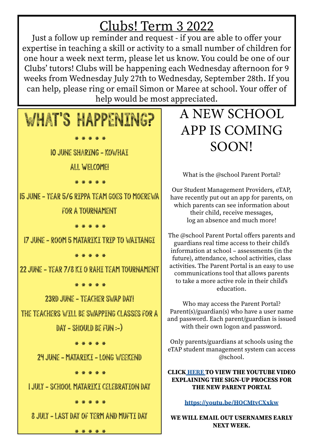### Clubs! Term 3 2022

Just a follow up reminder and request - if you are able to offer your expertise in teaching a skill or activity to a small number of children for one hour a week next term, please let us know. You could be one of our Clubs' tutors! Clubs will be happening each Wednesday afternoon for 9 weeks from Wednesday July 27th to Wednesday, September 28th. If you can help, please ring or email Simon or Maree at school. Your offer of help would be most appreciated.

What's HAPPENING?

10 JUNE Sharing - KOWHAI

\* \* \* \* \*

All welcome!

\* \* \* \* \*

15 June - YEAR 5/6 RIPPA TEAM GOES TO MOEREWA FOR A TOURNAMENT

\* \* \* \* \*

17 JUNE - ROOM 5 MATARIKI TRIP TO WAITANGI

\* \* \* \* \* 22 JUNE - YEAR 7/8 KI O RAHI TEAM TOURNAMENT

\* \* \* \* \*

23RD JUNE - TEACHER SWAP DAY! THE TEACHERS WILL BE SWAPPING CLASSES FOR A

DAY - SHOULD BE FUN :-)

\* \* \* \* \*

24 JUNE - MATARIKI - LONG WEEKEND

\* \* \* \* \*

1 JULY - SCHOOL MATARIKI CELEBRATION DAY

\* \* \* \* \*

8 JULY - LAST DAY OF TERM AND MUFTI DAY

### A NEW SCHOOL APP IS COMING SOON!

What is the @school Parent Portal?

Our Student Management Providers, eTAP, have recently put out an app for parents, on which parents can see information about their child, receive messages, log an absence and much more!

The @school Parent Portal offers parents and guardians real time access to their child's information at school – assessments (in the future), attendance, school activities, class activities. The Parent Portal is an easy to use communications tool that allows parents to take a more active role in their child's education.

Who may access the Parent Portal? Parent(s)/guardian(s) who have a user name and password. Each parent/guardian is issued with their own logon and password.

Only parents/guardians at schools using the eTAP student management system can access @school.

#### CLICK [HERE](https://youtu.be/HOCMtvCXxkw) TO VIEW THE YOUTUBE VIDEO EXPLAINING THE SIGN-UP PROCESS FOR THE NEW PARENT PORTAL

<https://youtu.be/HOCMtvCXxkw>

#### WE WILL EMAIL OUT USERNAMES EARLY NEXT WEEK.

\* \* \* \* \*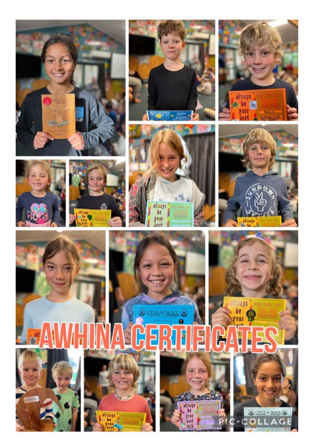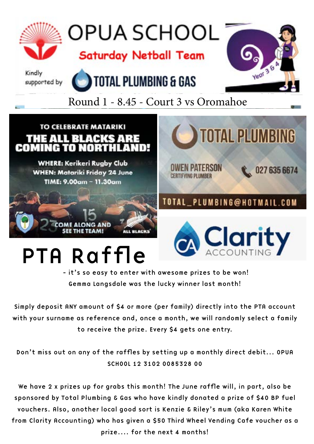

 - it's so easy to enter with awesome prizes to be won! Gemma Langsdale was the lucky winner last month!

Simply deposit ANY amount of \$4 or more (per family) directly into the PTA account with your surname as reference and, once a month, we will randomly select a family to receive the prize. Every \$4 gets one entry.

Don't miss out on any of the raffles by setting up a monthly direct debit… OPUA SCHOOL 12 3102 0085328 00

We have 2 x prizes up for grabs this month! The June raffle will, in part, also be sponsored by Total Plumbing & Gas who have kindly donated a prize of \$40 BP fuel vouchers. Also, another local good sort is Kenzie & Riley's mum (aka Karen White from Clarity Accounting) who has given a \$50 Third Wheel Vending Cafe voucher as a prize…. for the next 4 months!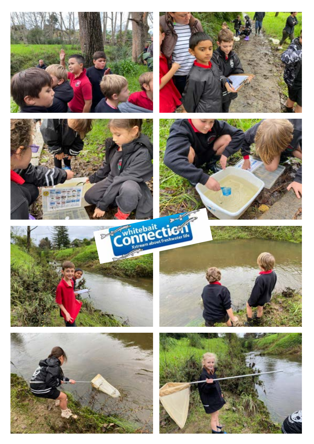